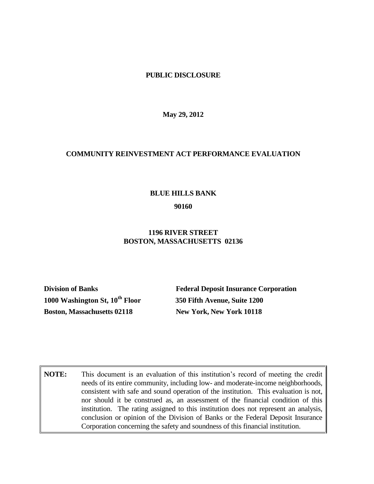### **PUBLIC DISCLOSURE**

**May 29, 2012**

### **COMMUNITY REINVESTMENT ACT PERFORMANCE EVALUATION**

### **BLUE HILLS BANK**

#### **90160**

## **1196 RIVER STREET BOSTON, MASSACHUSETTS 02136**

**1000 Washington St, 10th Floor 350 Fifth Avenue, Suite 1200 Boston, Massachusetts 02118 New York, New York 10118**

**Division of Banks Federal Deposit Insurance Corporation**

**NOTE:** This document is an evaluation of this institution's record of meeting the credit needs of its entire community, including low- and moderate-income neighborhoods, consistent with safe and sound operation of the institution. This evaluation is not, nor should it be construed as, an assessment of the financial condition of this institution. The rating assigned to this institution does not represent an analysis, conclusion or opinion of the Division of Banks or the Federal Deposit Insurance Corporation concerning the safety and soundness of this financial institution.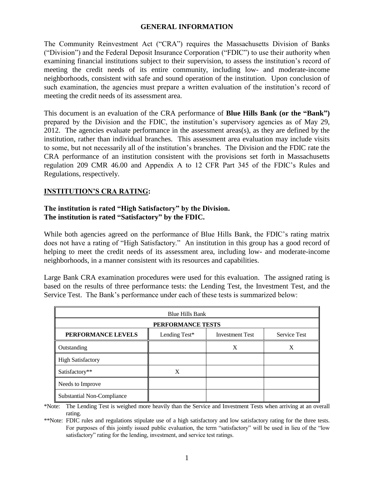# **GENERAL INFORMATION**

The Community Reinvestment Act ("CRA") requires the Massachusetts Division of Banks ("Division") and the Federal Deposit Insurance Corporation ("FDIC") to use their authority when examining financial institutions subject to their supervision, to assess the institution's record of meeting the credit needs of its entire community, including low- and moderate-income neighborhoods, consistent with safe and sound operation of the institution. Upon conclusion of such examination, the agencies must prepare a written evaluation of the institution's record of meeting the credit needs of its assessment area.

This document is an evaluation of the CRA performance of **Blue Hills Bank (or the "Bank")** prepared by the Division and the FDIC, the institution's supervisory agencies as of May 29, 2012. The agencies evaluate performance in the assessment areas(s), as they are defined by the institution, rather than individual branches. This assessment area evaluation may include visits to some, but not necessarily all of the institution's branches. The Division and the FDIC rate the CRA performance of an institution consistent with the provisions set forth in Massachusetts regulation 209 CMR 46.00 and Appendix A to 12 CFR Part 345 of the FDIC's Rules and Regulations, respectively.

# **INSTITUTION'S CRA RATING:**

# **The institution is rated "High Satisfactory" by the Division. The institution is rated "Satisfactory" by the FDIC.**

While both agencies agreed on the performance of Blue Hills Bank, the FDIC's rating matrix does not have a rating of "High Satisfactory." An institution in this group has a good record of helping to meet the credit needs of its assessment area, including low- and moderate-income neighborhoods, in a manner consistent with its resources and capabilities.

Large Bank CRA examination procedures were used for this evaluation. The assigned rating is based on the results of three performance tests: the Lending Test, the Investment Test, and the Service Test. The Bank's performance under each of these tests is summarized below:

| <b>Blue Hills Bank</b>     |               |                        |                     |
|----------------------------|---------------|------------------------|---------------------|
| PERFORMANCE TESTS          |               |                        |                     |
| PERFORMANCE LEVELS         | Lending Test* | <b>Investment Test</b> | <b>Service Test</b> |
| Outstanding                |               | X                      | X                   |
| <b>High Satisfactory</b>   |               |                        |                     |
| Satisfactory**             | X             |                        |                     |
| Needs to Improve           |               |                        |                     |
| Substantial Non-Compliance |               |                        |                     |

\*Note: The Lending Test is weighed more heavily than the Service and Investment Tests when arriving at an overall rating.

\*\*Note: FDIC rules and regulations stipulate use of a high satisfactory and low satisfactory rating for the three tests. For purposes of this jointly issued public evaluation, the term "satisfactory" will be used in lieu of the "low satisfactory" rating for the lending, investment, and service test ratings.